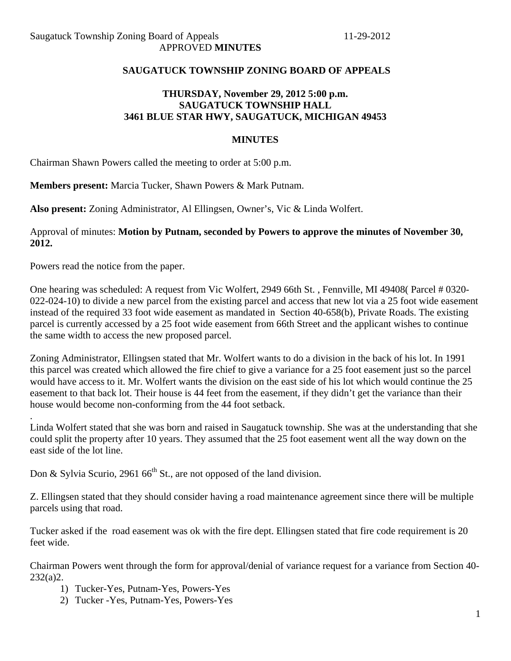#### **SAUGATUCK TOWNSHIP ZONING BOARD OF APPEALS**

### **THURSDAY, November 29, 2012 5:00 p.m. SAUGATUCK TOWNSHIP HALL 3461 BLUE STAR HWY, SAUGATUCK, MICHIGAN 49453**

#### **MINUTES**

Chairman Shawn Powers called the meeting to order at 5:00 p.m.

**Members present:** Marcia Tucker, Shawn Powers & Mark Putnam.

**Also present:** Zoning Administrator, Al Ellingsen, Owner's, Vic & Linda Wolfert.

Approval of minutes: **Motion by Putnam, seconded by Powers to approve the minutes of November 30, 2012.** 

Powers read the notice from the paper.

.

One hearing was scheduled: A request from Vic Wolfert, 2949 66th St. , Fennville, MI 49408( Parcel # 0320- 022-024-10) to divide a new parcel from the existing parcel and access that new lot via a 25 foot wide easement instead of the required 33 foot wide easement as mandated in Section 40-658(b), Private Roads. The existing parcel is currently accessed by a 25 foot wide easement from 66th Street and the applicant wishes to continue the same width to access the new proposed parcel.

Zoning Administrator, Ellingsen stated that Mr. Wolfert wants to do a division in the back of his lot. In 1991 this parcel was created which allowed the fire chief to give a variance for a 25 foot easement just so the parcel would have access to it. Mr. Wolfert wants the division on the east side of his lot which would continue the 25 easement to that back lot. Their house is 44 feet from the easement, if they didn't get the variance than their house would become non-conforming from the 44 foot setback.

Linda Wolfert stated that she was born and raised in Saugatuck township. She was at the understanding that she could split the property after 10 years. They assumed that the 25 foot easement went all the way down on the east side of the lot line.

Don & Sylvia Scurio, 2961  $66<sup>th</sup>$  St., are not opposed of the land division.

Z. Ellingsen stated that they should consider having a road maintenance agreement since there will be multiple parcels using that road.

Tucker asked if the road easement was ok with the fire dept. Ellingsen stated that fire code requirement is 20 feet wide.

Chairman Powers went through the form for approval/denial of variance request for a variance from Section 40- 232(a)2.

- 1) Tucker-Yes, Putnam-Yes, Powers-Yes
- 2) Tucker -Yes, Putnam-Yes, Powers-Yes